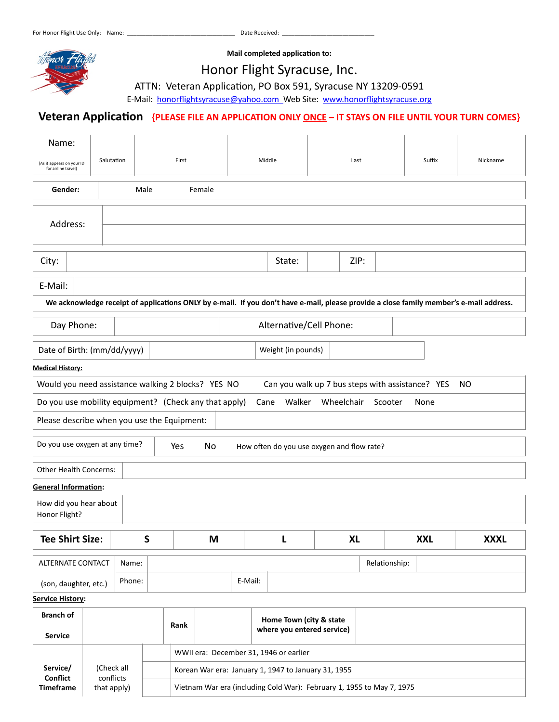

**Mail completed application to:**

# Honor Flight Syracuse, Inc.

ATTN: Veteran Application, PO Box 591, Syracuse NY 13209-0591

E-Mail: [honorflightsyracuse@yahoo.com](mailto:honorflightsyracuse@yahoo.com) Web Site: [www.honorflightsyracuse.org](http://www.honorflightsyracuse.org)

## Veteran Application {PLEASE FILE AN APPLICATION ONLY **ONCE - IT STAYS ON FILE UNTIL YOUR TURN COMES**}

| Name:                                                                                                                                   |                                        |        |         |                                                    |      |                         |                                                  |               |            |             |
|-----------------------------------------------------------------------------------------------------------------------------------------|----------------------------------------|--------|---------|----------------------------------------------------|------|-------------------------|--------------------------------------------------|---------------|------------|-------------|
| Salutation<br>(As it appears on your ID<br>for airline travel)                                                                          |                                        | First  |         | Middle                                             |      | Last                    |                                                  | Suffix        | Nickname   |             |
| Gender:<br>Male                                                                                                                         |                                        |        |         | Female                                             |      |                         |                                                  |               |            |             |
| Address:                                                                                                                                |                                        |        |         |                                                    |      |                         |                                                  |               |            |             |
| City:<br>State:                                                                                                                         |                                        |        |         |                                                    | ZIP: |                         |                                                  |               |            |             |
| E-Mail:                                                                                                                                 |                                        |        |         |                                                    |      |                         |                                                  |               |            |             |
| We acknowledge receipt of applications ONLY by e-mail. If you don't have e-mail, please provide a close family member's e-mail address. |                                        |        |         |                                                    |      |                         |                                                  |               |            |             |
|                                                                                                                                         | Day Phone:<br>Alternative/Cell Phone:  |        |         |                                                    |      |                         |                                                  |               |            |             |
| Date of Birth: (mm/dd/yyyy)<br>Weight (in pounds)                                                                                       |                                        |        |         |                                                    |      |                         |                                                  |               |            |             |
| <b>Medical History:</b>                                                                                                                 |                                        |        |         |                                                    |      |                         |                                                  |               |            |             |
|                                                                                                                                         |                                        |        |         | Would you need assistance walking 2 blocks? YES NO |      |                         | Can you walk up 7 bus steps with assistance? YES |               |            | NO          |
| Do you use mobility equipment? (Check any that apply)<br>Walker<br>Wheelchair<br>Scooter<br>Cane<br>None                                |                                        |        |         |                                                    |      |                         |                                                  |               |            |             |
| Please describe when you use the Equipment:                                                                                             |                                        |        |         |                                                    |      |                         |                                                  |               |            |             |
| Do you use oxygen at any time?<br>No<br>Yes<br>How often do you use oxygen and flow rate?                                               |                                        |        |         |                                                    |      |                         |                                                  |               |            |             |
| <b>Other Health Concerns:</b>                                                                                                           |                                        |        |         |                                                    |      |                         |                                                  |               |            |             |
| <b>General Information:</b>                                                                                                             |                                        |        |         |                                                    |      |                         |                                                  |               |            |             |
| How did you hear about<br>Honor Flight?                                                                                                 |                                        |        |         |                                                    |      |                         |                                                  |               |            |             |
| <b>Tee Shirt Size:</b>                                                                                                                  |                                        |        | S       | M                                                  |      | L                       | <b>XL</b>                                        |               | <b>XXL</b> | <b>XXXL</b> |
| ALTERNATE CONTACT<br>Name:                                                                                                              |                                        |        |         |                                                    |      |                         |                                                  | Relationship: |            |             |
| (son, daughter, etc.)                                                                                                                   |                                        | Phone: | E-Mail: |                                                    |      |                         |                                                  |               |            |             |
| <b>Service History:</b>                                                                                                                 |                                        |        |         |                                                    |      |                         |                                                  |               |            |             |
| <b>Branch of</b><br><b>Service</b>                                                                                                      |                                        |        |         | Rank                                               |      | Home Town (city & state | where you entered service)                       |               |            |             |
|                                                                                                                                         | WWII era: December 31, 1946 or earlier |        |         |                                                    |      |                         |                                                  |               |            |             |

| Service/<br>Confiict | (Check all<br>conflicts<br>that apply) | Korean War era: January 1, 1947 to January 31, 1955                   |
|----------------------|----------------------------------------|-----------------------------------------------------------------------|
| Timeframe            |                                        | Vietnam War era (including Cold War): February 1, 1955 to May 7, 1975 |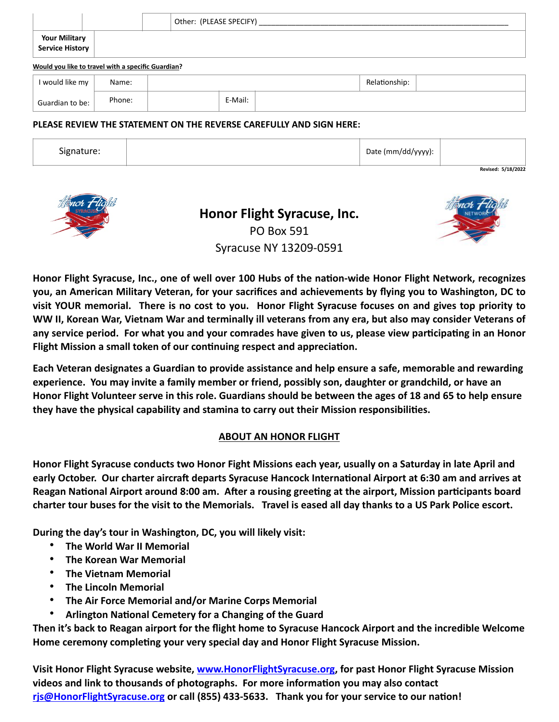|                                                    |  |  | Other: (PLEASE SPECIFY) |  |  |
|----------------------------------------------------|--|--|-------------------------|--|--|
| Your Military<br>Service History                   |  |  |                         |  |  |
| Would you like to travel with a specific Guardian? |  |  |                         |  |  |

| I would like my | Name:  |  |         |  | Relationship: |  |
|-----------------|--------|--|---------|--|---------------|--|
| Guardian to be: | Phone: |  | E-Mail: |  |               |  |

#### **PLEASE REVIEW THE STATEMENT ON THE REVERSE CAREFULLY AND SIGN HERE:**

| <b></b><br>Signature: | Date (mm/dd/yyyy): |                    |
|-----------------------|--------------------|--------------------|
|                       |                    | Revised: 5/18/2022 |



**Honor Flight Syracuse, Inc.** PO Box 591 Syracuse NY 13209-0591



**Honor Flight Syracuse, Inc., one of well over 100 Hubs of the nation-wide Honor Flight Network, recognizes you, an American Military Veteran, for your sacrifices and achievements by flying you to Washington, DC to visit YOUR memorial. There is no cost to you. Honor Flight Syracuse focuses on and gives top priority to WW II, Korean War, Vietnam War and terminally ill veterans from any era, but also may consider Veterans of any service period. For what you and your comrades have given to us, please view participating in an Honor Flight Mission a small token of our continuing respect and appreciation.**

**Each Veteran designates a Guardian to provide assistance and help ensure a safe, memorable and rewarding experience. You may invite a family member or friend, possibly son, daughter or grandchild, or have an Honor Flight Volunteer serve in this role. Guardians should be between the ages of 18 and 65 to help ensure they have the physical capability and stamina to carry out their Mission responsibilities.**

### **ABOUT AN HONOR FLIGHT**

**Honor Flight Syracuse conducts two Honor Fight Missions each year, usually on a Saturday in late April and early October. Our charter aircraft departs Syracuse Hancock International Airport at 6:30 am and arrives at Reagan National Airport around 8:00 am. After a rousing greeting at the airport, Mission participants board charter tour buses for the visit to the Memorials. Travel is eased all day thanks to a US Park Police escort.**

**During the day's tour in Washington, DC, you will likely visit:**

- **The World War II Memorial**
- **The Korean War Memorial**
- **The Vietnam Memorial**
- **The Lincoln Memorial**
- **The Air Force Memorial and/or Marine Corps Memorial**
- **Arlington National Cemetery for a Changing of the Guard**

**Then it's back to Reagan airport for the flight home to Syracuse Hancock Airport and the incredible Welcome Home ceremony completing your very special day and Honor Flight Syracuse Mission.** 

**Visit Honor Flight Syracuse website, [www.HonorFlightSyracuse.org](http://www.HonorFlightSyracuse.org), for past Honor Flight Syracuse Mission videos and link to thousands of photographs. For more information you may also contact [rjs@HonorFlightSyracuse.org](mailto:rjs@HonorFlightSyracuse.org) or call (855) 433-5633. Thank you for your service to our nation!**